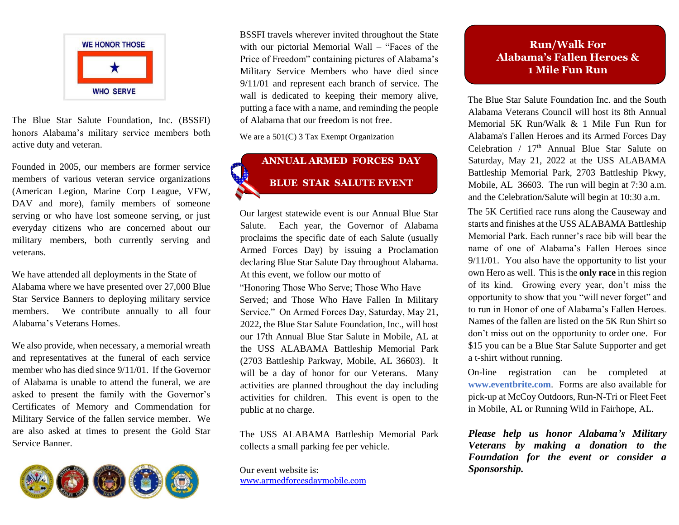

The Blue Star Salute Foundation, Inc. (BSSFI) honors Alabama's military service members both active duty and veteran.

Founded in 2005, our members are former service members of various veteran service organizations (American Legion, Marine Corp League, VFW, DAV and more), family members of someone serving or who have lost someone serving, or just everyday citizens who are concerned about our military members, both currently serving and veterans.

We have attended all deployments in the State of Alabama where we have presented over 27,000 Blue Star Service Banners to deploying military service members. We contribute annually to all four Alabama's Veterans Homes.

We also provide, when necessary, a memorial wreath and representatives at the funeral of each service member who has died since 9/11/01. If the Governor of Alabama is unable to attend the funeral, we are asked to present the family with the Governor's Certificates of Memory and Commendation for Military Service of the fallen service member. We are also asked at times to present the Gold Star Service Banner.



BSSFI travels wherever invited throughout the State with our pictorial Memorial Wall – "Faces of the Price of Freedom" containing pictures of Alabama's Military Service Members who have died since 9/11/01 and represent each branch of service. The wall is dedicated to keeping their memory alive, putting a face with a name, and reminding the people of Alabama that our freedom is not free.

We are a  $501(C)$  3 Tax Exempt Organization

# **ANNUAL ARMED FORCES DAY BLUE STAR SALUTE EVENT**

Our largest statewide event is our Annual Blue Star Salute. Each year, the Governor of Alabama proclaims the specific date of each Salute (usually Armed Forces Day) by issuing a Proclamation declaring Blue Star Salute Day throughout Alabama. At this event, we follow our motto of

"Honoring Those Who Serve; Those Who Have Served; and Those Who Have Fallen In Military Service." On Armed Forces Day, Saturday, May 21, 2022, the Blue Star Salute Foundation, Inc., will host our 17th Annual Blue Star Salute in Mobile, AL at the USS ALABAMA Battleship Memorial Park (2703 Battleship Parkway, Mobile, AL 36603). It will be a day of honor for our Veterans. Many activities are planned throughout the day including activities for children. This event is open to the public at no charge.

The USS ALABAMA Battleship Memorial Park collects a small parking fee per vehicle.

Our event website is: [www.armedforcesdaymobile.com](http://www.bluestarcelebration.com/)

### **Run/Walk For Alabama's Fallen Heroes & 1 Mile Fun Run**

The Blue Star Salute Foundation Inc. and the South Alabama Veterans Council will host its 8th Annual Memorial 5K Run/Walk & 1 Mile Fun Run for Alabama's Fallen Heroes and its Armed Forces Day Celebration /  $17<sup>th</sup>$  Annual Blue Star Salute on Saturday, May 21, 2022 at the USS ALABAMA Battleship Memorial Park, 2703 Battleship Pkwy, Mobile, AL 36603. The run will begin at 7:30 a.m. and the Celebration/Salute will begin at 10:30 a.m.

The 5K Certified race runs along the Causeway and starts and finishes at the USS ALABAMA Battleship Memorial Park. Each runner's race bib will bear the name of one of Alabama's Fallen Heroes since 9/11/01. You also have the opportunity to list your own Hero as well. This isthe **only race** in this region of its kind. Growing every year, don't miss the opportunity to show that you "will never forget" and to run in Honor of one of Alabama's Fallen Heroes. Names of the fallen are listed on the 5K Run Shirt so don't miss out on the opportunity to order one. For \$15 you can be a Blue Star Salute Supporter and get a t-shirt without running.

On-line registration can be completed at **[www.eventbrite.com](http://www.eventbrite.com/)**[.](http://www.eventbrite.com/) Forms are also available for pick-up at McCoy Outdoors, Run-N-Tri or Fleet Feet in Mobile, AL or Running Wild in Fairhope, AL.

*Please help us honor Alabama's Military Veterans by making a donation to the Foundation for the event or consider a Sponsorship.*